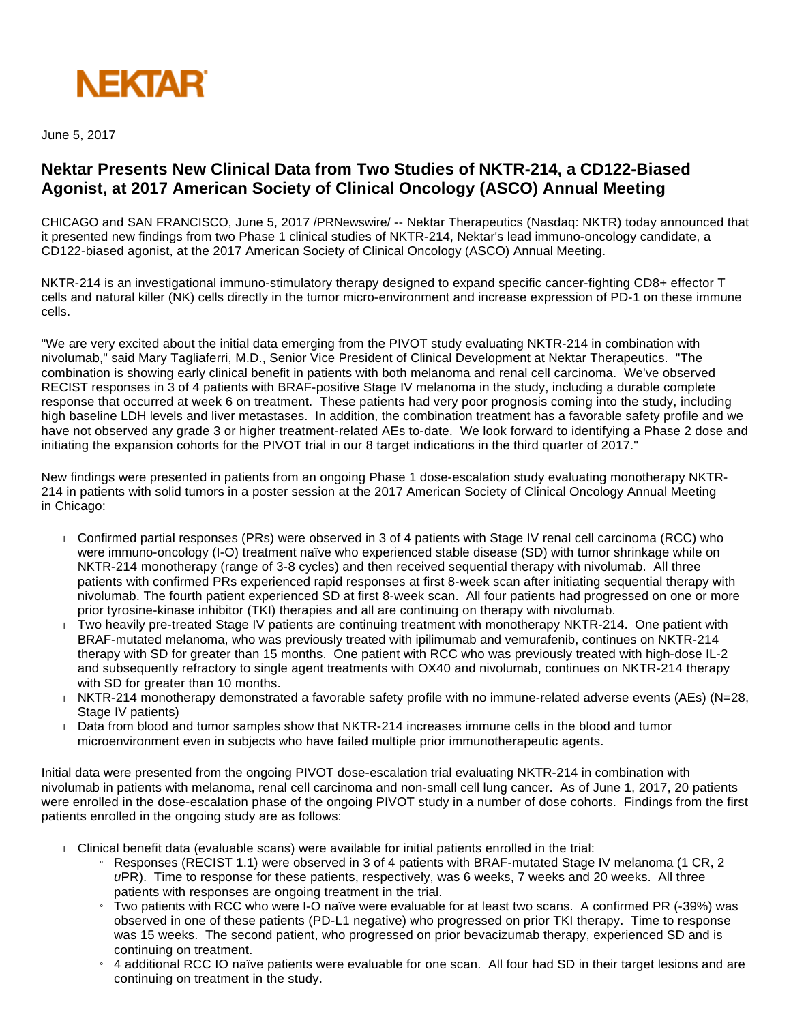

June 5, 2017

## **Nektar Presents New Clinical Data from Two Studies of NKTR-214, a CD122-Biased Agonist, at 2017 American Society of Clinical Oncology (ASCO) Annual Meeting**

CHICAGO and SAN FRANCISCO, June 5, 2017 /PRNewswire/ -- Nektar Therapeutics (Nasdaq: NKTR) today announced that it presented new findings from two Phase 1 clinical studies of NKTR-214, Nektar's lead immuno-oncology candidate, a CD122-biased agonist, at the 2017 American Society of Clinical Oncology (ASCO) Annual Meeting.

NKTR-214 is an investigational immuno-stimulatory therapy designed to expand specific cancer-fighting CD8+ effector T cells and natural killer (NK) cells directly in the tumor micro-environment and increase expression of PD-1 on these immune cells.

"We are very excited about the initial data emerging from the PIVOT study evaluating NKTR-214 in combination with nivolumab," said Mary Tagliaferri, M.D., Senior Vice President of Clinical Development at Nektar Therapeutics. "The combination is showing early clinical benefit in patients with both melanoma and renal cell carcinoma. We've observed RECIST responses in 3 of 4 patients with BRAF-positive Stage IV melanoma in the study, including a durable complete response that occurred at week 6 on treatment. These patients had very poor prognosis coming into the study, including high baseline LDH levels and liver metastases. In addition, the combination treatment has a favorable safety profile and we have not observed any grade 3 or higher treatment-related AEs to-date. We look forward to identifying a Phase 2 dose and initiating the expansion cohorts for the PIVOT trial in our 8 target indications in the third quarter of 2017."

New findings were presented in patients from an ongoing Phase 1 dose-escalation study evaluating monotherapy NKTR-214 in patients with solid tumors in a poster session at the 2017 American Society of Clinical Oncology Annual Meeting in Chicago:

- Confirmed partial responses (PRs) were observed in 3 of 4 patients with Stage IV renal cell carcinoma (RCC) who were immuno-oncology (I-O) treatment naïve who experienced stable disease (SD) with tumor shrinkage while on NKTR-214 monotherapy (range of 3-8 cycles) and then received sequential therapy with nivolumab. All three patients with confirmed PRs experienced rapid responses at first 8-week scan after initiating sequential therapy with nivolumab. The fourth patient experienced SD at first 8-week scan. All four patients had progressed on one or more prior tyrosine-kinase inhibitor (TKI) therapies and all are continuing on therapy with nivolumab.
- Two heavily pre-treated Stage IV patients are continuing treatment with monotherapy NKTR-214. One patient with BRAF-mutated melanoma, who was previously treated with ipilimumab and vemurafenib, continues on NKTR-214 therapy with SD for greater than 15 months. One patient with RCC who was previously treated with high-dose IL-2 and subsequently refractory to single agent treatments with OX40 and nivolumab, continues on NKTR-214 therapy with SD for greater than 10 months.
- NKTR-214 monotherapy demonstrated a favorable safety profile with no immune-related adverse events (AEs) (N=28, Stage IV patients)
- Data from blood and tumor samples show that NKTR-214 increases immune cells in the blood and tumor microenvironment even in subjects who have failed multiple prior immunotherapeutic agents.

Initial data were presented from the ongoing PIVOT dose-escalation trial evaluating NKTR-214 in combination with nivolumab in patients with melanoma, renal cell carcinoma and non-small cell lung cancer. As of June 1, 2017, 20 patients were enrolled in the dose-escalation phase of the ongoing PIVOT study in a number of dose cohorts. Findings from the first patients enrolled in the ongoing study are as follows:

- Clinical benefit data (evaluable scans) were available for initial patients enrolled in the trial:
	- » Responses (RECIST 1.1) were observed in 3 of 4 patients with BRAF-mutated Stage IV melanoma (1 CR, 2  $\mu$ PR). Time to response for these patients, respectively, was 6 weeks, 7 weeks and 20 weeks. All three patients with responses are ongoing treatment in the trial.
	- » Two patients with RCC who were I-O naïve were evaluable for at least two scans. A confirmed PR (-39%) was observed in one of these patients (PD-L1 negative) who progressed on prior TKI therapy. Time to response was 15 weeks. The second patient, who progressed on prior bevacizumab therapy, experienced SD and is continuing on treatment.
	- » 4 additional RCC IO naïve patients were evaluable for one scan. All four had SD in their target lesions and are continuing on treatment in the study.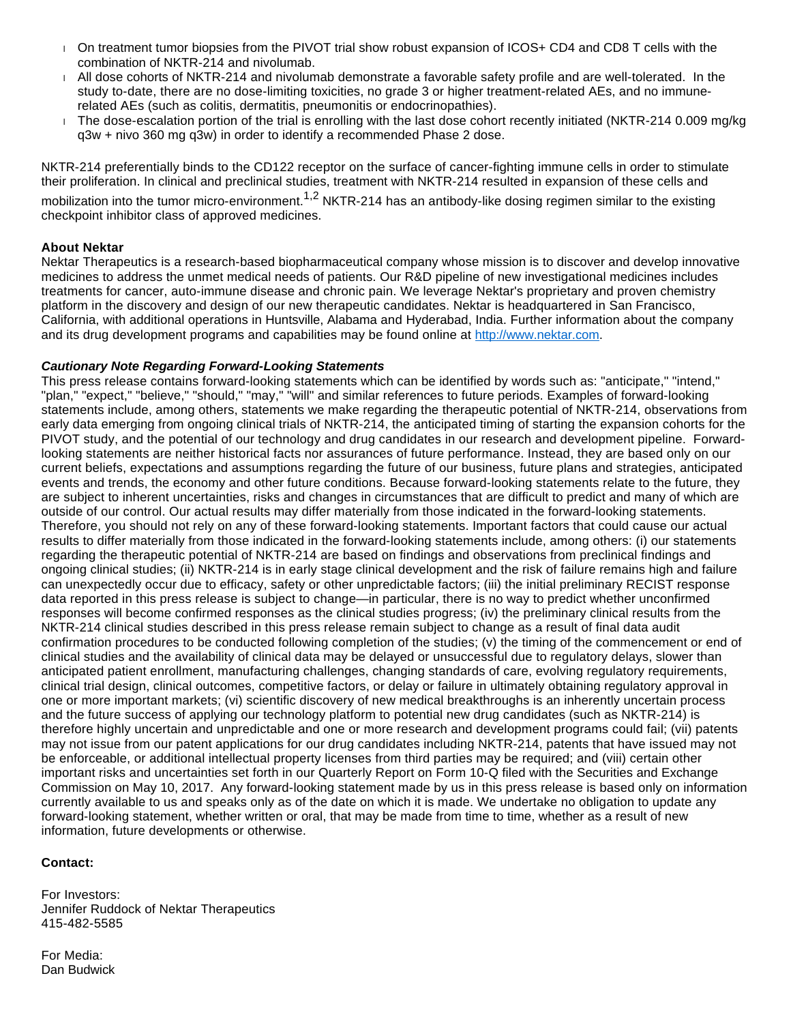- On treatment tumor biopsies from the PIVOT trial show robust expansion of ICOS+ CD4 and CD8 T cells with the combination of NKTR-214 and nivolumab.
- All dose cohorts of NKTR-214 and nivolumab demonstrate a favorable safety profile and are well-tolerated. In the study to-date, there are no dose-limiting toxicities, no grade 3 or higher treatment-related AEs, and no immunerelated AEs (such as colitis, dermatitis, pneumonitis or endocrinopathies).
- The dose-escalation portion of the trial is enrolling with the last dose cohort recently initiated (NKTR-214 0.009 mg/kg q3w + nivo 360 mg q3w) in order to identify a recommended Phase 2 dose.

NKTR-214 preferentially binds to the CD122 receptor on the surface of cancer-fighting immune cells in order to stimulate their proliferation. In clinical and preclinical studies, treatment with NKTR-214 resulted in expansion of these cells and

mobilization into the tumor micro-environment.<sup>1,2</sup> NKTR-214 has an antibody-like dosing regimen similar to the existing checkpoint inhibitor class of approved medicines.

## **About Nektar**

Nektar Therapeutics is a research-based biopharmaceutical company whose mission is to discover and develop innovative medicines to address the unmet medical needs of patients. Our R&D pipeline of new investigational medicines includes treatments for cancer, auto-immune disease and chronic pain. We leverage Nektar's proprietary and proven chemistry platform in the discovery and design of our new therapeutic candidates. Nektar is headquartered in San Francisco, California, with additional operations in Huntsville, Alabama and Hyderabad, India. Further information about the company and its drug development programs and capabilities may be found online at [http://www.nektar.com](http://www.nektar.com/).

## **Cautionary Note Regarding Forward-Looking Statements**

This press release contains forward-looking statements which can be identified by words such as: "anticipate," "intend," "plan," "expect," "believe," "should," "may," "will" and similar references to future periods. Examples of forward-looking statements include, among others, statements we make regarding the therapeutic potential of NKTR-214, observations from early data emerging from ongoing clinical trials of NKTR-214, the anticipated timing of starting the expansion cohorts for the PIVOT study, and the potential of our technology and drug candidates in our research and development pipeline. Forwardlooking statements are neither historical facts nor assurances of future performance. Instead, they are based only on our current beliefs, expectations and assumptions regarding the future of our business, future plans and strategies, anticipated events and trends, the economy and other future conditions. Because forward-looking statements relate to the future, they are subject to inherent uncertainties, risks and changes in circumstances that are difficult to predict and many of which are outside of our control. Our actual results may differ materially from those indicated in the forward-looking statements. Therefore, you should not rely on any of these forward-looking statements. Important factors that could cause our actual results to differ materially from those indicated in the forward-looking statements include, among others: (i) our statements regarding the therapeutic potential of NKTR-214 are based on findings and observations from preclinical findings and ongoing clinical studies; (ii) NKTR-214 is in early stage clinical development and the risk of failure remains high and failure can unexpectedly occur due to efficacy, safety or other unpredictable factors; (iii) the initial preliminary RECIST response data reported in this press release is subject to change—in particular, there is no way to predict whether unconfirmed responses will become confirmed responses as the clinical studies progress; (iv) the preliminary clinical results from the NKTR-214 clinical studies described in this press release remain subject to change as a result of final data audit confirmation procedures to be conducted following completion of the studies; (v) the timing of the commencement or end of clinical studies and the availability of clinical data may be delayed or unsuccessful due to regulatory delays, slower than anticipated patient enrollment, manufacturing challenges, changing standards of care, evolving regulatory requirements, clinical trial design, clinical outcomes, competitive factors, or delay or failure in ultimately obtaining regulatory approval in one or more important markets; (vi) scientific discovery of new medical breakthroughs is an inherently uncertain process and the future success of applying our technology platform to potential new drug candidates (such as NKTR-214) is therefore highly uncertain and unpredictable and one or more research and development programs could fail; (vii) patents may not issue from our patent applications for our drug candidates including NKTR-214, patents that have issued may not be enforceable, or additional intellectual property licenses from third parties may be required; and (viii) certain other important risks and uncertainties set forth in our Quarterly Report on Form 10-Q filed with the Securities and Exchange Commission on May 10, 2017. Any forward-looking statement made by us in this press release is based only on information currently available to us and speaks only as of the date on which it is made. We undertake no obligation to update any forward-looking statement, whether written or oral, that may be made from time to time, whether as a result of new information, future developments or otherwise.

## **Contact:**

For Investors: Jennifer Ruddock of Nektar Therapeutics 415-482-5585

For Media: Dan Budwick